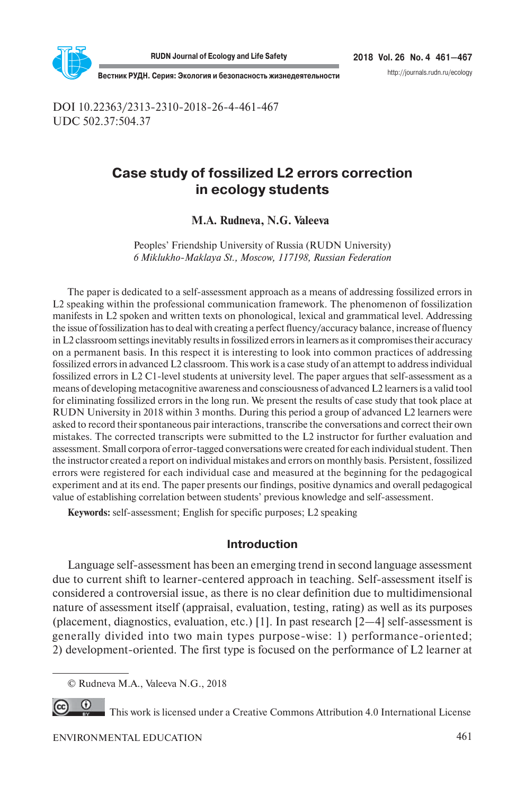

**2018 Vol. 26 No. 4 461—467**

http://journals.rudn.ru/ecology

**Вестник РУДН. Серия: Экология и безопасность жизнедеятельности**

DOI 10.22363/2313-2310-2018-26-4-461-467 UDC 502.37:504.37

# **Case study of fossilized L2 errors correction in ecology students**

### **M.A. Rudneva, N.G. Valeeva<sup>1</sup>**

Peoples' Friendship University of Russia (RUDN University) *6 Miklukho-Maklaya St., Moscow, 117198, Russian Federation*

The paper is dedicated to a self-assessment approach as a means of addressing fossilized errors in L2 speaking within the professional communication framework. The phenomenon of fossilization manifests in L2 spoken and written texts on phonological, lexical and grammatical level. Addressing the issue of fossilization has to deal with creating a perfect fluency/accuracy balance, increase of fluency in L2 classroom settings inevitably results in fossilized errors in learners as it compromises their accuracy on a permanent basis. In this respect it is interesting to look into common practices of addressing fossilized errors in advanced L2 classroom. This work is a case study of an attempt to address individual fossilized errors in L2 C1-level students at university level. The paper argues that self-assessment as a means of developing metacognitive awareness and consciousness of advanced L2 learners is a valid tool for eliminating fossilized errors in the long run. We present the results of case study that took place at RUDN University in 2018 within 3 months. During this period a group of advanced L2 learners were asked to record their spontaneous pair interactions, transcribe the conversations and correct their own mistakes. The corrected transcripts were submitted to the L2 instructor for further evaluation and assessment. Small corpora of error-tagged conversations were created for each individual student. Then the instructor created a report on individual mistakes and errors on monthly basis. Persistent, fossilized errors were registered for each individual case and measured at the beginning for the pedagogical experiment and at its end. The paper presents our findings, positive dynamics and overall pedagogical value of establishing correlation between students' previous knowledge and self-assessment.

**Keywords:** self-assessment; English for specific purposes; L2 speaking

### **Introduction**

Language self-assessment has been an emerging trend in second language assessment due to current shift to learner-centered approach in teaching. Self-assessment itself is considered a controversial issue, as there is no clear definition due to multidimensional nature of assessment itself (appraisal, evaluation, testing, rating) as well as its purposes (placement, diagnostics, evaluation, etc.) [1]. In past research [2—4] self-assessment is generally divided into two main types purpose-wise: 1) performance-oriented; 2) development-oriented. The first type is focused on the performance of L2 learner at

This work is licensed under a Creative Commons Attribution 4.0 International License

<sup>©</sup> Rudneva M.A., Valeeva N.G., 2018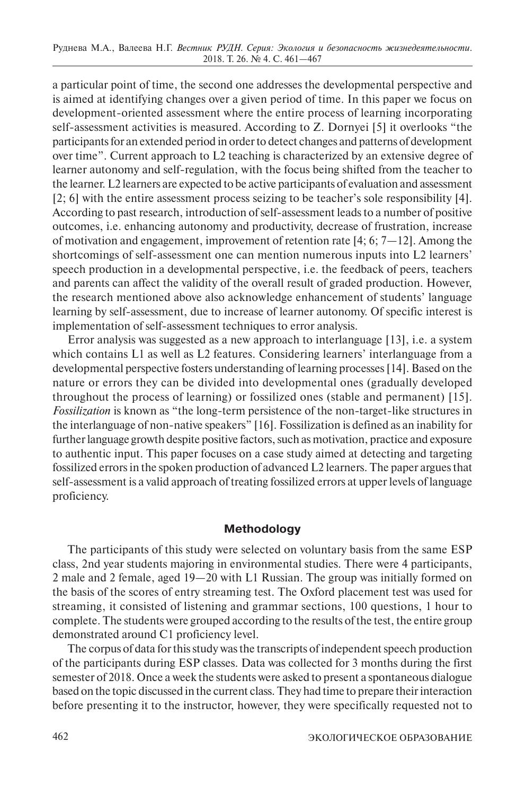a particular point of time, the second one addresses the developmental perspective and is aimed at identifying changes over a given period of time. In this paper we focus on development-oriented assessment where the entire process of learning incorporating self-assessment activities is measured. According to Z. Dornyei [5] it overlooks "the participants for an extended period in order to detect changes and patterns of development over time". Current approach to L2 teaching is characterized by an extensive degree of learner autonomy and self-regulation, with the focus being shifted from the teacher to the learner. L2 learners are expected to be active participants of evaluation and assessment [2; 6] with the entire assessment process seizing to be teacher's sole responsibility [4]. According to past research, introduction of self-assessment leads to a number of positive outcomes, i.e. enhancing autonomy and productivity, decrease of frustration, increase of motivation and engagement, improvement of retention rate [4; 6;  $7-12$ ]. Among the shortcomings of self-assessment one can mention numerous inputs into L2 learners' speech production in a developmental perspective, i.e. the feedback of peers, teachers and parents can affect the validity of the overall result of graded production. However, the research mentioned above also acknowledge enhancement of students' language learning by self-assessment, due to increase of learner autonomy. Of specific interest is implementation of self-assessment techniques to error analysis.

Error analysis was suggested as a new approach to interlanguage [13], i.e. a system which contains L1 as well as L2 features. Considering learners' interlanguage from a developmental perspective fosters understanding of learning processes [14]. Based on the nature or errors they can be divided into developmental ones (gradually developed throughout the process of learning) or fossilized ones (stable and permanent) [15]. *Fossilization* is known as "the long-term persistence of the non-target-like structures in the interlanguage of non-native speakers" [16]. Fossilization is defined as an inability for further language growth despite positive factors, such as motivation, practice and exposure to authentic input. This paper focuses on a case study aimed at detecting and targeting fossilized errors in the spoken production of advanced L2 learners. The paper argues that self-assessment is a valid approach of treating fossilized errors at upper levels of language proficiency.

### **Methodology**

The participants of this study were selected on voluntary basis from the same ESP class, 2nd year students majoring in environmental studies. There were 4 participants, 2 male and 2 female, aged 19—20 with L1 Russian. The group was initially formed on the basis of the scores of entry streaming test. The Oxford placement test was used for streaming, it consisted of listening and grammar sections, 100 questions, 1 hour to complete. The students were grouped according to the results of the test, the entire group demonstrated around C1 proficiency level.

The corpus of data for this study was the transcripts of independent speech production of the participants during ESP classes. Data was collected for 3 months during the first semester of 2018. Once a week the students were asked to present a spontaneous dialogue based on the topic discussed in the current class. They had time to prepare their interaction before presenting it to the instructor, however, they were specifically requested not to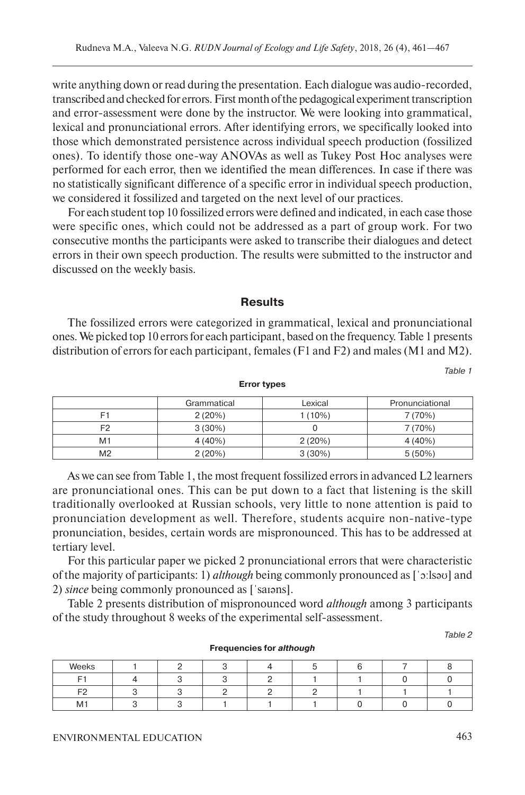write anything down or read during the presentation. Each dialogue was audio-recorded, transcribed and checked for errors. First month of the pedagogical experiment transcription and error-assessment were done by the instructor. We were looking into grammatical, lexical and pronunciational errors. After identifying errors, we specifically looked into those which demonstrated persistence across individual speech production (fossilized ones). To identify those one-way ANOVAs as well as Tukey Post Hoc analyses were performed for each error, then we identified the mean differences. In case if there was no statistically significant difference of a specific error in individual speech production, we considered it fossilized and targeted on the next level of our practices.

For each student top 10 fossilized errors were defined and indicated, in each case those were specific ones, which could not be addressed as a part of group work. For two consecutive months the participants were asked to transcribe their dialogues and detect errors in their own speech production. The results were submitted to the instructor and discussed on the weekly basis.

### **Results**

The fossilized errors were categorized in grammatical, lexical and pronunciational ones. We picked top 10 errors for each participant, based on the frequency. Table 1 presents distribution of errors for each participant, females (F1 and F2) and males (M1 and M2).

Table 1

|                | Grammatical | Lexical  | Pronunciational |  |  |  |
|----------------|-------------|----------|-----------------|--|--|--|
| F1             | 2(20%)      | $(10\%)$ | 7 (70%)         |  |  |  |
| いり             | $3(30\%)$   |          | 7 (70%)         |  |  |  |
| M1             | $4(40\%)$   | 2(20%)   | 4(40%)          |  |  |  |
| M <sub>2</sub> | 2(20%)      | 3(30%)   | $5(50\%)$       |  |  |  |

**Error types**

As we can see from Table 1, the most frequent fossilized errors in advanced L2 learners are pronunciational ones. This can be put down to a fact that listening is the skill traditionally overlooked at Russian schools, very little to none attention is paid to pronunciation development as well. Therefore, students acquire non-native-type pronunciation, besides, certain words are mispronounced. This has to be addressed at tertiary level.

For this particular paper we picked 2 pronunciational errors that were characteristic of the majority of participants: 1) *although* being commonly pronounced as [ˈɔːlsəʊ] and 2) *since* being commonly pronounced as [ˈsaɪəns].

Table 2 presents distribution of mispronounced word *although* among 3 participants of the study throughout 8 weeks of the experimental self-assessment.

Table 2

| Weeks          |  |  |  |  |
|----------------|--|--|--|--|
|                |  |  |  |  |
| Ē              |  |  |  |  |
| M <sub>1</sub> |  |  |  |  |

#### **Frequencies for** *although*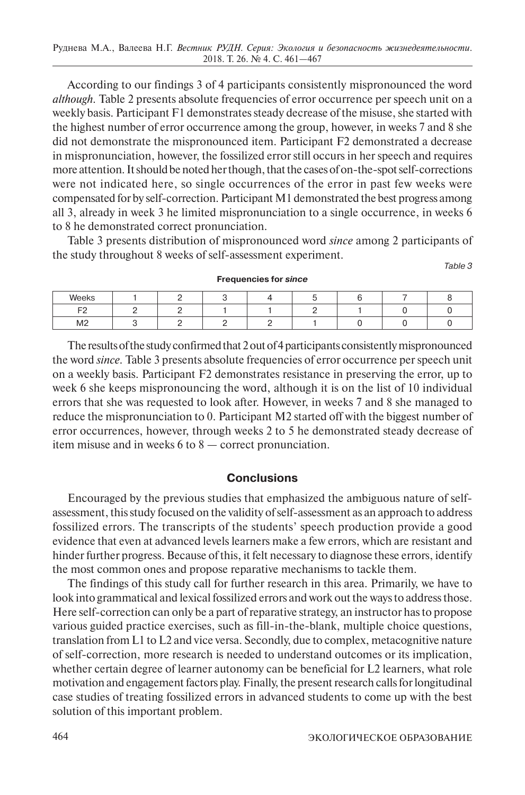According to our findings 3 of 4 participants consistently mispronounced the word *although.* Table 2 presents absolute frequencies of error occurrence per speech unit on a weekly basis. Participant F1 demonstrates steady decrease of the misuse, she started with the highest number of error occurrence among the group, however, in weeks 7 and 8 she did not demonstrate the mispronounced item. Participant F2 demonstrated a decrease in mispronunciation, however, the fossilized error still occurs in her speech and requires more attention. It should be noted her though, that the cases of on-the-spot self-corrections were not indicated here, so single occurrences of the error in past few weeks were compensated for by self-correction. Participant M1 demonstrated the best progress among all 3, already in week 3 he limited mispronunciation to a single occurrence, in weeks 6 to 8 he demonstrated correct pronunciation.

Table 3 presents distribution of mispronounced word *since* among 2 participants of the study throughout 8 weeks of self-assessment experiment. Table 3

| Weeks          |  |  |  |  |
|----------------|--|--|--|--|
| E9             |  |  |  |  |
| M <sub>2</sub> |  |  |  |  |

**Frequencies for** *since*

The results of the study confirmed that 2 out of 4 participants consistently mispronounced the word *since.* Table 3 presents absolute frequencies of error occurrence per speech unit on a weekly basis. Participant F2 demonstrates resistance in preserving the error, up to week 6 she keeps mispronouncing the word, although it is on the list of 10 individual errors that she was requested to look after. However, in weeks 7 and 8 she managed to reduce the mispronunciation to 0. Participant M2 started off with the biggest number of error occurrences, however, through weeks 2 to 5 he demonstrated steady decrease of item misuse and in weeks 6 to 8 — correct pronunciation.

### **Conclusions**

Encouraged by the previous studies that emphasized the ambiguous nature of selfassessment, this study focused on the validity of self-assessment as an approach to address fossilized errors. The transcripts of the students' speech production provide a good evidence that even at advanced levels learners make a few errors, which are resistant and hinder further progress. Because of this, it felt necessary to diagnose these errors, identify the most common ones and propose reparative mechanisms to tackle them.

The findings of this study call for further research in this area. Primarily, we have to look into grammatical and lexical fossilized errors and work out the ways to address those. Here self-correction can only be a part of reparative strategy, an instructor has to propose various guided practice exercises, such as fill-in-the-blank, multiple choice questions, translation from L1 to L2 and vice versa. Secondly, due to complex, metacognitive nature of self-correction, more research is needed to understand outcomes or its implication, whether certain degree of learner autonomy can be beneficial for L2 learners, what role motivation and engagement factors play. Finally, the present research calls for longitudinal case studies of treating fossilized errors in advanced students to come up with the best solution of this important problem.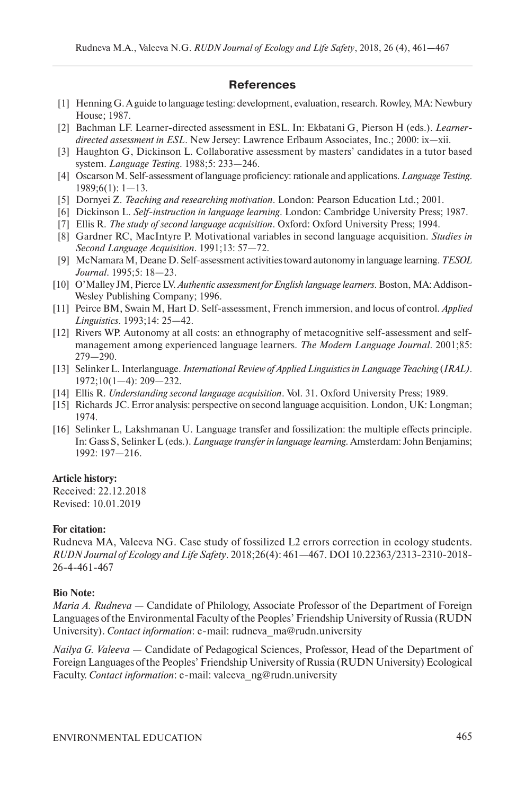### **References**

- [1] Henning G. A guide to language testing: development, evaluation, research. Rowley, MA: Newbury House; 1987.
- [2] Bachman LF. Learner-directed assessment in ESL. In: Ekbatani G, Pierson H (eds.). *Learnerdirected assessment in ESL*. New Jersey: Lawrence Erlbaum Associates, Inc.; 2000: ix—xii.
- [3] Haughton G, Dickinson L. Collaborative assessment by masters' candidates in a tutor based system. *Language Testing*. 1988;5: 233—246.
- [4] Oscarson M. Self-assessment of language proficiency: rationale and applications. *Language Testing*. 1989;6(1): 1—13.
- [5] Dornyei Z. *Teaching and researching motivation*. London: Pearson Education Ltd.; 2001.
- [6] Dickinson L. *Self-instruction in language learning*. London: Cambridge University Press; 1987.
- [7] Ellis R. *The study of second language acquisition*. Oxford: Oxford University Press; 1994.
- [8] Gardner RC, MacIntyre P. Motivational variables in second language acquisition. *Studies in Second Language Acquisition*. 1991;13: 57—72.
- [9] McNamara M, Deane D. Self-assessment activities toward autonomy in language learning. *TESOL Journal*. 1995;5: 18—23.
- [10] O'Malley JM, Pierce LV. *Authentic assessment for English language learners*. Boston, MA: Addison-Wesley Publishing Company; 1996.
- [11] Peirce BM, Swain M, Hart D. Self-assessment, French immersion, and locus of control. *Applied Linguistics*. 1993;14: 25—42.
- [12] Rivers WP. Autonomy at all costs: an ethnography of metacognitive self-assessment and selfmanagement among experienced language learners. *The Modern Language Journal*. 2001;85: 279—290.
- [13] Selinker L. Interlanguage. *International Review of Applied Linguistics in Language Teaching* (*IRAL)*. 1972;10(1—4): 209—232.
- [14] Ellis R. *Understanding second language acquisition*. Vol. 31. Oxford University Press; 1989.
- [15] Richards JC. Error analysis: perspective on second language acquisition. London, UK: Longman; 1974.
- [16] Selinker L, Lakshmanan U. Language transfer and fossilization: the multiple effects principle. In: Gass S, Selinker L (eds.). *Language transfer in language learning.* Amsterdam: John Benjamins; 1992: 197—216.

### **Article history:**

Received: 22.12.2018 Revised: 10.01.2019

### **For citation:**

Rudneva MA, Valeeva NG. Case study of fossilized L2 errors correction in ecology students. *RUDN Journal of Ecology and Life Safety*. 2018;26(4): 461—467. DOI 10.22363/2313-2310-2018- 26-4-461-467

### **Bio Note:**

*Maria A. Rudneva* — Candidate of Philology, Associate Professor of the Department of Foreign Languages of the Environmental Faculty of the Peoples' Friendship University of Russia (RUDN University). *Contact information*: e-mail: rudneva\_ma@rudn.university

*Nailya G. Valeeva* — Candidate of Pedagogical Sciences, Professor, Head of the Department of Foreign Languages of the Peoples' Friendship University of Russia (RUDN University) Ecological Faculty. *Contact information*: e-mail: valeeva\_ng@rudn.university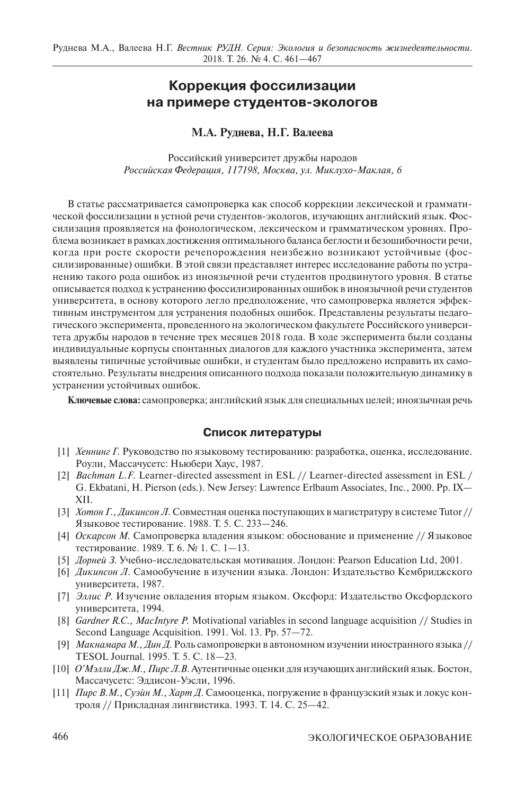## **Коррекция фоссилизации на примере студентов-экологов**

### **М.А. Руднева, Н.Г. Валеева**

Российский университет дружбы народов *Российская Федерация, 117198, Москва, ул. Миклухо-Маклая, 6*

В статье рассматривается самопроверка как способ коррекции лексической и грамматической фоссилизации в устной речи студентов-экологов, изучающих английский язык. Фоссилизация проявляется на фонологическом, лексическом и грамматическом уровнях. Проблема возникает в рамках достижения оптимального баланса беглости и безошибочности речи, когда при росте скорости речепорождения неизбежно возникают устойчивые (фоссилизированные) ошибки. В этой связи представляет интерес исследование работы по устранению такого рода ошибок из иноязычной речи студентов продвинутого уровня. В статье описывается подход к устранению фоссилизированных ошибок в иноязычной речи студентов университета, в основу которого легло предположение, что самопроверка является эффективным инструментом для устранения подобных ошибок. Представлены результаты педагогического эксперимента, проведенного на экологическом факультете Российского университета дружбы народов в течение трех месяцев 2018 года. В ходе эксперимента были созданы индивидуальные корпусы спонтанных диалогов для каждого участника эксперимента, затем выявлены типичные устойчивые ошибки, и студентам было предложено исправить их самостоятельно. Результаты внедрения описанного подхода показали положительную динамику в устранении устойчивых ошибок.

**Ключевые слова:** самопроверка; английский язык для специальных целей; иноязычная речь

#### **Список литературы**

- [1] *Хеннинг Г.* Руководство по языковому тестированию: разработка, оценка, исследование. Роули, Массачусетс: Ньюбери Хаус, 1987.
- [2] *Bachman L.F.* Learner-directed assessment in ESL // Learner-directed assessment in ESL / G. Ekbatani, H. Pierson (eds.). New Jersey: Lawrence Erlbaum Associates, Inc., 2000. Pp. IX— XII.
- [3] *Хотон Г., Дикинсон Л*. Совместная оценка поступающих в магистратуру в системе Tutor // Языковое тестирование. 1988. Т. 5. С. 233—246.
- [4] *Оскарсон М.* Самопроверка владения языком: обоснование и применение // Языковое тестирование. 1989. Т. 6. № 1. С. 1—13.
- [5] *Дорней З*. Учебно-исследовательская мотивация. Лондон: Pearson Education Ltd, 2001.
- [6] *Дикинсон Л*. Самообучение в изучении языка. Лондон: Издательство Кембриджского университета, 1987.
- [7] *Эллис Р*. Изучение овладения вторым языком. Оксфорд: Издательство Оксфордского университета, 1994.
- [8] *Gardner R.C., MacIntyre P.* Motivational variables in second language acquisition // Studies in Second Language Acquisition. 1991. Vol. 13. Pp. 57—72.
- [9] *Макнамара М., Дин Д*. Роль самопроверки в автономном изучении иностранного языка // TESOL Journal. 1995. Т. 5. С. 18—23.
- [10] *О'Мэлли Дж.М., Пирс Л.В*. Аутентичные оценки для изучающих английский язык. Бостон, Массачусетс: Эддисон-Уэсли, 1996.
- [11] *Пирс B.M., Суэйн М., Харт Д*. Самооценка, погружение в французский язык и локус контроля // Прикладная лингвистика. 1993. Т. 14. С. 25—42.